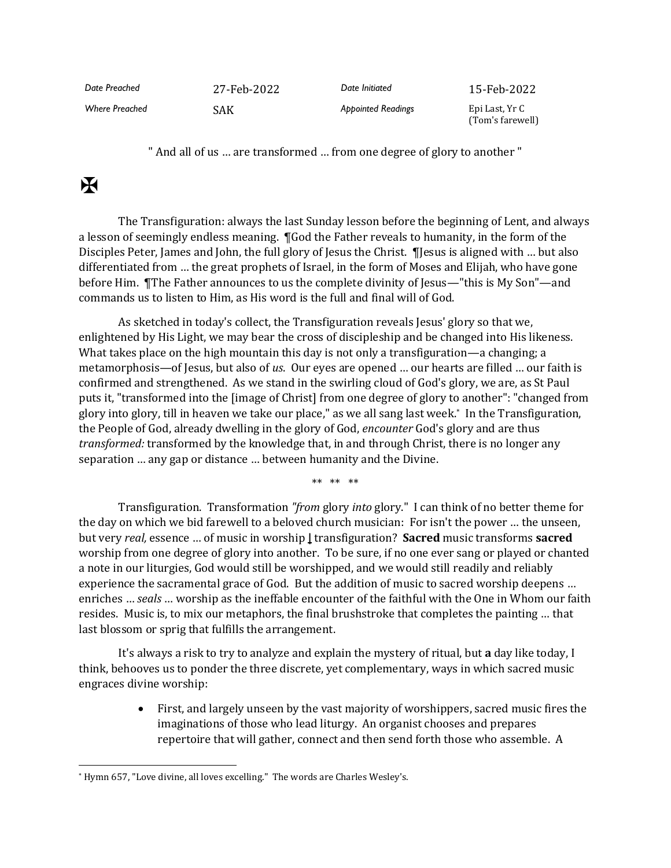| Date Preached         | 27-Feb-2022 | Date Initiated            | 15-Feb-2022                        |
|-----------------------|-------------|---------------------------|------------------------------------|
| <b>Where Preached</b> | <b>SAK</b>  | <b>Appointed Readings</b> | Epi Last, Yr C<br>(Tom's farewell) |

" And all of us … are transformed … from one degree of glory to another "

## $\mathbf K$

The Transfiguration: always the last Sunday lesson before the beginning of Lent, and always a lesson of seemingly endless meaning. ¶God the Father reveals to humanity, in the form of the Disciples Peter, James and John, the full glory of Jesus the Christ. The use is aligned with ... but also differentiated from … the great prophets of Israel, in the form of Moses and Elijah, who have gone before Him. ¶The Father announces to us the complete divinity of Jesus—"this is My Son"—and commands us to listen to Him, as His word is the full and final will of God.

As sketched in today's collect, the Transfiguration reveals Jesus' glory so that we, enlightened by His Light, we may bear the cross of discipleship and be changed into His likeness. What takes place on the high mountain this day is not only a transfiguration—a changing; a metamorphosis—of Jesus, but also of *us*. Our eyes are opened … our hearts are filled … our faith is confirmed and strengthened. As we stand in the swirling cloud of God's glory, we are, as St Paul puts it, "transformed into the [image of Christ] from one degree of glory to another": "changed from glory into glory, till in heaven we take our place," as we all sang last week.\* In the Transfiguration, the People of God, already dwelling in the glory of God, *encounter* God's glory and are thus *transformed:* transformed by the knowledge that, in and through Christ, there is no longer any separation … any gap or distance … between humanity and the Divine.

\*\* \*\* \*\*

Transfiguration. Transformation *"from* glory *into* glory." I can think of no better theme for the day on which we bid farewell to a beloved church musician: For isn't the power … the unseen, but very *real,* essence … of music in worship **|** transfiguration? **Sacred** music transforms **sacred** worship from one degree of glory into another. To be sure, if no one ever sang or played or chanted a note in our liturgies, God would still be worshipped, and we would still readily and reliably experience the sacramental grace of God. But the addition of music to sacred worship deepens … enriches … *seals* … worship as the ineffable encounter of the faithful with the One in Whom our faith resides. Music is, to mix our metaphors, the final brushstroke that completes the painting … that last blossom or sprig that fulfills the arrangement.

It's always a risk to try to analyze and explain the mystery of ritual, but **a** day like today, I think, behooves us to ponder the three discrete, yet complementary, ways in which sacred music engraces divine worship:

> • First, and largely unseen by the vast majority of worshippers, sacred music fires the imaginations of those who lead liturgy. An organist chooses and prepares repertoire that will gather, connect and then send forth those who assemble. A

<sup>\*</sup> Hymn 657, "Love divine, all loves excelling." The words are Charles Wesley's.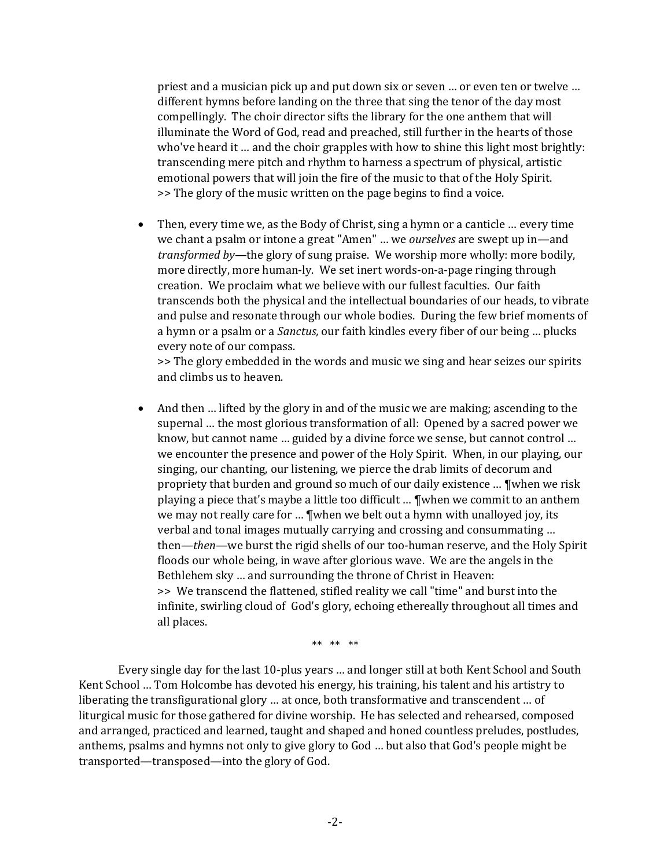priest and a musician pick up and put down six or seven … or even ten or twelve … different hymns before landing on the three that sing the tenor of the day most compellingly. The choir director sifts the library for the one anthem that will illuminate the Word of God, read and preached, still further in the hearts of those who've heard it … and the choir grapples with how to shine this light most brightly: transcending mere pitch and rhythm to harness a spectrum of physical, artistic emotional powers that will join the fire of the music to that of the Holy Spirit. >> The glory of the music written on the page begins to find a voice.

• Then, every time we, as the Body of Christ, sing a hymn or a canticle ... every time we chant a psalm or intone a great "Amen" … we *ourselves* are swept up in—and *transformed by*—the glory of sung praise. We worship more wholly: more bodily, more directly, more human-ly. We set inert words-on-a-page ringing through creation. We proclaim what we believe with our fullest faculties. Our faith transcends both the physical and the intellectual boundaries of our heads, to vibrate and pulse and resonate through our whole bodies. During the few brief moments of a hymn or a psalm or a *Sanctus,* our faith kindles every fiber of our being … plucks every note of our compass.

>> The glory embedded in the words and music we sing and hear seizes our spirits and climbs us to heaven.

• And then ... lifted by the glory in and of the music we are making; ascending to the supernal … the most glorious transformation of all: Opened by a sacred power we know, but cannot name … guided by a divine force we sense, but cannot control … we encounter the presence and power of the Holy Spirit. When, in our playing, our singing, our chanting, our listening, we pierce the drab limits of decorum and propriety that burden and ground so much of our daily existence … ¶when we risk playing a piece that's maybe a little too difficult … ¶when we commit to an anthem we may not really care for … ¶when we belt out a hymn with unalloyed joy, its verbal and tonal images mutually carrying and crossing and consummating … then—*then*—we burst the rigid shells of our too-human reserve, and the Holy Spirit floods our whole being, in wave after glorious wave. We are the angels in the Bethlehem sky … and surrounding the throne of Christ in Heaven: >> We transcend the flattened, stifled reality we call "time" and burst into the infinite, swirling cloud of God's glory, echoing ethereally throughout all times and all places.

\*\* \*\* \*\*

Every single day for the last 10-plus years … and longer still at both Kent School and South Kent School … Tom Holcombe has devoted his energy, his training, his talent and his artistry to liberating the transfigurational glory … at once, both transformative and transcendent … of liturgical music for those gathered for divine worship. He has selected and rehearsed, composed and arranged, practiced and learned, taught and shaped and honed countless preludes, postludes, anthems, psalms and hymns not only to give glory to God … but also that God's people might be transported—transposed—into the glory of God.